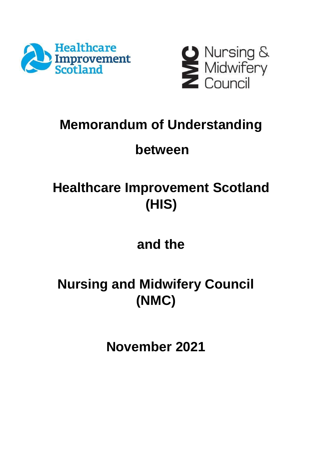



## **Memorandum of Understanding**

## **between**

## **Healthcare Improvement Scotland (HIS)**

## **and the**

# **Nursing and Midwifery Council (NMC)**

**November 2021**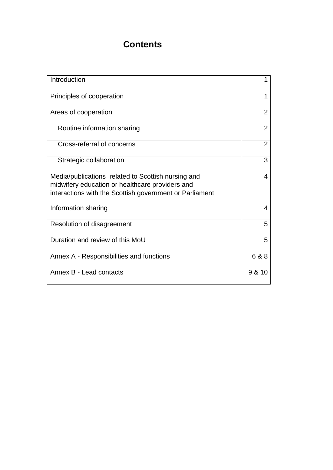## **Contents**

| Introduction                                                                                                                                                     | 1              |
|------------------------------------------------------------------------------------------------------------------------------------------------------------------|----------------|
| Principles of cooperation                                                                                                                                        | 1              |
| Areas of cooperation                                                                                                                                             | 2              |
| Routine information sharing                                                                                                                                      | $\overline{2}$ |
| Cross-referral of concerns                                                                                                                                       | $\overline{2}$ |
| Strategic collaboration                                                                                                                                          | 3              |
| Media/publications related to Scottish nursing and<br>midwifery education or healthcare providers and<br>interactions with the Scottish government or Parliament | 4              |
| Information sharing                                                                                                                                              | 4              |
| Resolution of disagreement                                                                                                                                       | 5              |
| Duration and review of this MoU                                                                                                                                  | 5              |
| Annex A - Responsibilities and functions                                                                                                                         | 6 & 8          |
| Annex B - Lead contacts                                                                                                                                          | 9 & 10         |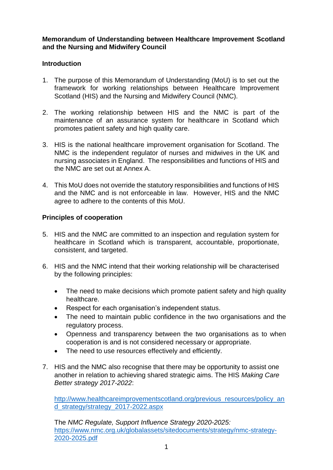**Memorandum of Understanding between Healthcare Improvement Scotland and the Nursing and Midwifery Council**

## **Introduction**

- 1. The purpose of this Memorandum of Understanding (MoU) is to set out the framework for working relationships between Healthcare Improvement Scotland (HIS) and the Nursing and Midwifery Council (NMC).
- 2. The working relationship between HIS and the NMC is part of the maintenance of an assurance system for healthcare in Scotland which promotes patient safety and high quality care.
- 3. HIS is the national healthcare improvement organisation for Scotland. The NMC is the independent regulator of nurses and midwives in the UK and nursing associates in England. The responsibilities and functions of HIS and the NMC are set out at Annex A.
- 4. This MoU does not override the statutory responsibilities and functions of HIS and the NMC and is not enforceable in law. However, HIS and the NMC agree to adhere to the contents of this MoU.

## **Principles of cooperation**

- 5. HIS and the NMC are committed to an inspection and regulation system for healthcare in Scotland which is transparent, accountable, proportionate, consistent, and targeted.
- 6. HIS and the NMC intend that their working relationship will be characterised by the following principles:
	- The need to make decisions which promote patient safety and high quality healthcare.
	- Respect for each organisation's independent status.
	- The need to maintain public confidence in the two organisations and the regulatory process.
	- Openness and transparency between the two organisations as to when cooperation is and is not considered necessary or appropriate.
	- The need to use resources effectively and efficiently.
- 7. HIS and the NMC also recognise that there may be opportunity to assist one another in relation to achieving shared strategic aims. The HIS *Making Care Better strategy 2017-2022*:

[http://www.healthcareimprovementscotland.org/previous\\_resources/policy\\_an](http://www.healthcareimprovementscotland.org/previous_resources/policy_and_strategy/strategy_2017-2022.aspx) [d\\_strategy/strategy\\_2017-2022.aspx](http://www.healthcareimprovementscotland.org/previous_resources/policy_and_strategy/strategy_2017-2022.aspx)

The *NMC Regulate, Support Influence Strategy 2020-2025:* [https://www.nmc.org.uk/globalassets/sitedocuments/strategy/nmc-strategy-](https://www.nmc.org.uk/globalassets/sitedocuments/strategy/nmc-strategy-2020-2025.pdf)[2020-2025.pdf](https://www.nmc.org.uk/globalassets/sitedocuments/strategy/nmc-strategy-2020-2025.pdf)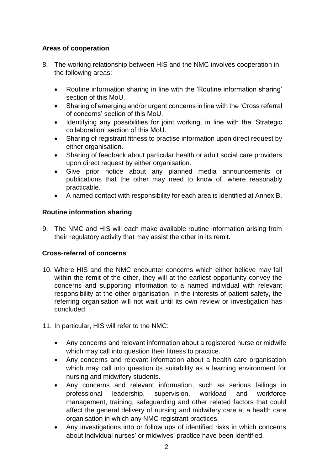## **Areas of cooperation**

- 8. The working relationship between HIS and the NMC involves cooperation in the following areas:
	- Routine information sharing in line with the 'Routine information sharing' section of this MoU.
	- Sharing of emerging and/or urgent concerns in line with the 'Cross referral of concerns' section of this MoU.
	- Identifying any possibilities for joint working, in line with the 'Strategic collaboration' section of this MoU.
	- Sharing of registrant fitness to practise information upon direct request by either organisation.
	- Sharing of feedback about particular health or adult social care providers upon direct request by either organisation.
	- Give prior notice about any planned media announcements or publications that the other may need to know of, where reasonably practicable.
	- A named contact with responsibility for each area is identified at Annex B.

## **Routine information sharing**

9. The NMC and HIS will each make available routine information arising from their regulatory activity that may assist the other in its remit.

## **Cross-referral of concerns**

- 10. Where HIS and the NMC encounter concerns which either believe may fall within the remit of the other, they will at the earliest opportunity convey the concerns and supporting information to a named individual with relevant responsibility at the other organisation. In the interests of patient safety, the referring organisation will not wait until its own review or investigation has concluded.
- 11. In particular, HIS will refer to the NMC:
	- Any concerns and relevant information about a registered nurse or midwife which may call into question their fitness to practice.
	- Any concerns and relevant information about a health care organisation which may call into question its suitability as a learning environment for nursing and midwifery students.
	- Any concerns and relevant information, such as serious failings in professional leadership, supervision, workload and workforce management, training, safeguarding and other related factors that could affect the general delivery of nursing and midwifery care at a health care organisation in which any NMC registrant practices.
	- Any investigations into or follow ups of identified risks in which concerns about individual nurses' or midwives' practice have been identified.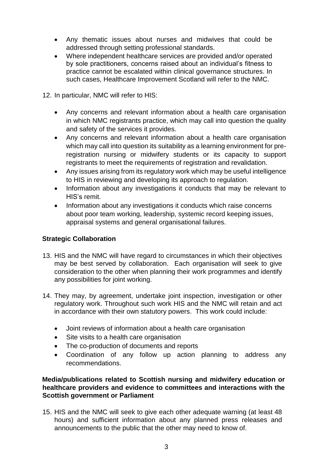- Any thematic issues about nurses and midwives that could be addressed through setting professional standards.
- Where independent healthcare services are provided and/or operated by sole practitioners, concerns raised about an individual's fitness to practice cannot be escalated within clinical governance structures. In such cases, Healthcare Improvement Scotland will refer to the NMC.
- 12. In particular, NMC will refer to HIS:
	- Any concerns and relevant information about a health care organisation in which NMC registrants practice, which may call into question the quality and safety of the services it provides.
	- Any concerns and relevant information about a health care organisation which may call into question its suitability as a learning environment for preregistration nursing or midwifery students or its capacity to support registrants to meet the requirements of registration and revalidation.
	- Any issues arising from its regulatory work which may be useful intelligence to HIS in reviewing and developing its approach to regulation.
	- Information about any investigations it conducts that may be relevant to HIS's remit.
	- Information about any investigations it conducts which raise concerns about poor team working, leadership, systemic record keeping issues, appraisal systems and general organisational failures.

## **Strategic Collaboration**

- 13. HIS and the NMC will have regard to circumstances in which their objectives may be best served by collaboration. Each organisation will seek to give consideration to the other when planning their work programmes and identify any possibilities for joint working.
- 14. They may, by agreement, undertake joint inspection, investigation or other regulatory work. Throughout such work HIS and the NMC will retain and act in accordance with their own statutory powers. This work could include:
	- Joint reviews of information about a health care organisation
	- Site visits to a health care organisation
	- The co-production of documents and reports
	- Coordination of any follow up action planning to address any recommendations.

## **Media/publications related to Scottish nursing and midwifery education or healthcare providers and evidence to committees and interactions with the Scottish government or Parliament**

15. HIS and the NMC will seek to give each other adequate warning (at least 48 hours) and sufficient information about any planned press releases and announcements to the public that the other may need to know of.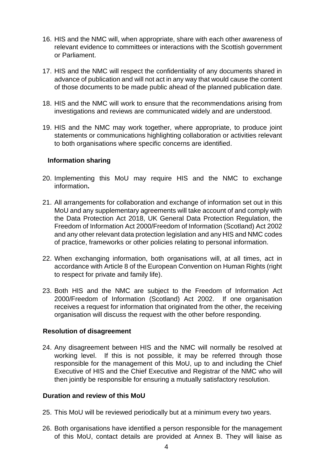- 16. HIS and the NMC will, when appropriate, share with each other awareness of relevant evidence to committees or interactions with the Scottish government or Parliament.
- 17. HIS and the NMC will respect the confidentiality of any documents shared in advance of publication and will not act in any way that would cause the content of those documents to be made public ahead of the planned publication date.
- 18. HIS and the NMC will work to ensure that the recommendations arising from investigations and reviews are communicated widely and are understood.
- 19. HIS and the NMC may work together, where appropriate, to produce joint statements or communications highlighting collaboration or activities relevant to both organisations where specific concerns are identified.

#### **Information sharing**

- 20. Implementing this MoU may require HIS and the NMC to exchange information**.**
- 21. All arrangements for collaboration and exchange of information set out in this MoU and any supplementary agreements will take account of and comply with the Data Protection Act 2018, UK General Data Protection Regulation, the Freedom of Information Act 2000/Freedom of Information (Scotland) Act 2002 and any other relevant data protection legislation and any HIS and NMC codes of practice, frameworks or other policies relating to personal information.
- 22. When exchanging information, both organisations will, at all times, act in accordance with Article 8 of the European Convention on Human Rights (right to respect for private and family life).
- 23. Both HIS and the NMC are subject to the Freedom of Information Act 2000/Freedom of Information (Scotland) Act 2002. If one organisation receives a request for information that originated from the other, the receiving organisation will discuss the request with the other before responding.

#### **Resolution of disagreement**

24. Any disagreement between HIS and the NMC will normally be resolved at working level. If this is not possible, it may be referred through those responsible for the management of this MoU, up to and including the Chief Executive of HIS and the Chief Executive and Registrar of the NMC who will then jointly be responsible for ensuring a mutually satisfactory resolution.

#### **Duration and review of this MoU**

- 25. This MoU will be reviewed periodically but at a minimum every two years.
- 26. Both organisations have identified a person responsible for the management of this MoU, contact details are provided at Annex B. They will liaise as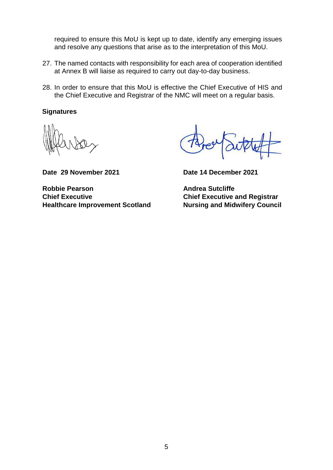required to ensure this MoU is kept up to date, identify any emerging issues and resolve any questions that arise as to the interpretation of this MoU.

- 27. The named contacts with responsibility for each area of cooperation identified at Annex B will liaise as required to carry out day-to-day business.
- 28. In order to ensure that this MoU is effective the Chief Executive of HIS and the Chief Executive and Registrar of the NMC will meet on a regular basis.

#### **Signatures**

**Date 29 November 2021 Date 14 December 2021**

**Robbie Pearson Andrea Sutcliffe Chief Executive Chief Executive and Registrar Healthcare Improvement Scotland Nursing and Midwifery Council**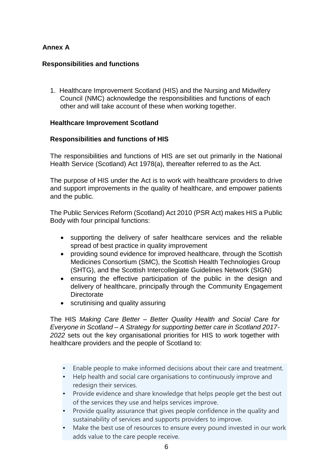## **Annex A**

## **Responsibilities and functions**

1. Healthcare Improvement Scotland (HIS) and the Nursing and Midwifery Council (NMC) acknowledge the responsibilities and functions of each other and will take account of these when working together.

## **Healthcare Improvement Scotland**

## **Responsibilities and functions of HIS**

The responsibilities and functions of HIS are set out primarily in the National Health Service (Scotland) Act 1978(a), thereafter referred to as the Act.

The purpose of HIS under the Act is to work with healthcare providers to drive and support improvements in the quality of healthcare, and empower patients and the public.

The Public Services Reform (Scotland) Act 2010 (PSR Act) makes HIS a Public Body with four principal functions:

- supporting the delivery of safer healthcare services and the reliable spread of best practice in quality improvement
- providing sound evidence for improved healthcare, through the Scottish Medicines Consortium (SMC), the Scottish Health Technologies Group (SHTG), and the Scottish Intercollegiate Guidelines Network (SIGN)
- ensuring the effective participation of the public in the design and delivery of healthcare, principally through the Community Engagement **Directorate**
- scrutinising and quality assuring

The HIS *Making Care Better – Better Quality Health and Social Care for Everyone in Scotland – A Strategy for supporting better care in Scotland 2017- 2022* sets out the key organisational priorities for HIS to work together with healthcare providers and the people of Scotland to:

- Enable people to make informed decisions about their care and treatment.
- Help health and social care organisations to continuously improve and redesign their services.
- Provide evidence and share knowledge that helps people get the best out of the services they use and helps services improve.
- Provide quality assurance that gives people confidence in the quality and sustainability of services and supports providers to improve.
- Make the best use of resources to ensure every pound invested in our work adds value to the care people receive.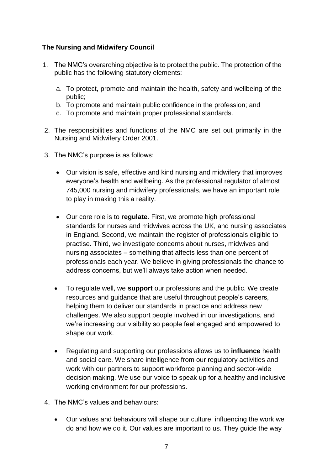## **The Nursing and Midwifery Council**

- 1. The NMC's overarching objective is to protect the public. The protection of the public has the following statutory elements:
	- a. To protect, promote and maintain the health, safety and wellbeing of the public;
	- b. To promote and maintain public confidence in the profession; and
	- c. To promote and maintain proper professional standards.
- 2. The responsibilities and functions of the NMC are set out primarily in the Nursing and Midwifery Order 2001.
- 3. The NMC's purpose is as follows:
	- Our vision is safe, effective and kind nursing and midwifery that improves everyone's health and wellbeing. As the professional regulator of almost 745,000 nursing and midwifery professionals, we have an important role to play in making this a reality.
	- Our core role is to **regulate**. First, we promote high professional standards for nurses and midwives across the UK, and nursing associates in England. Second, we maintain the register of professionals eligible to practise. Third, we investigate concerns about nurses, midwives and nursing associates – something that affects less than one percent of professionals each year. We believe in giving professionals the chance to address concerns, but we'll always take action when needed.
	- To regulate well, we **support** our professions and the public. We create resources and guidance that are useful throughout people's careers, helping them to deliver our standards in practice and address new challenges. We also support people involved in our investigations, and we're increasing our visibility so people feel engaged and empowered to shape our work.
	- Regulating and supporting our professions allows us to **influence** health and social care. We share intelligence from our regulatory activities and work with our partners to support workforce planning and sector-wide decision making. We use our voice to speak up for a healthy and inclusive working environment for our professions.
- 4. The NMC's values and behaviours:
	- Our values and behaviours will shape our culture, influencing the work we do and how we do it. Our values are important to us. They guide the way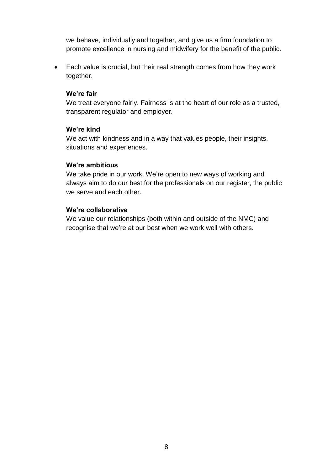we behave, individually and together, and give us a firm foundation to promote excellence in nursing and midwifery for the benefit of the public.

 Each value is crucial, but their real strength comes from how they work together.

## **We're fair**

We treat everyone fairly. Fairness is at the heart of our role as a trusted, transparent regulator and employer.

## **We're kind**

We act with kindness and in a way that values people, their insights, situations and experiences.

## **We're ambitious**

We take pride in our work. We're open to new ways of working and always aim to do our best for the professionals on our register, the public we serve and each other.

## **We're collaborative**

We value our relationships (both within and outside of the NMC) and recognise that we're at our best when we work well with others.